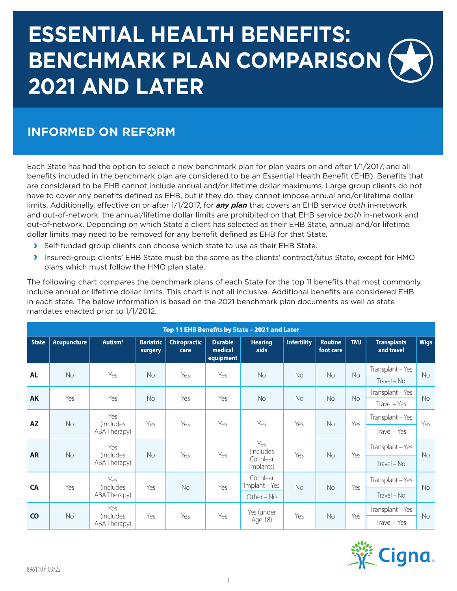# **ESSENTIAL HEALTH BENEFITS: BENCHMARK PLAN COMPARISON 2021 AND LATER**

#### **INFORMED ON REFORM**

Each State has had the option to select a new benchmark plan for plan years on and after 1/1/2017, and all benefits included in the benchmark plan are considered to be an Essential Health Benefit (EHB). Benefits that are considered to be EHB cannot include annual and/or lifetime dollar maximums. Large group clients do not have to cover any benefits defined as EHB, but if they do, they cannot impose annual and/or lifetime dollar limits. Additionally, effective on or after 1/1/2017, for *any plan* that covers an EHB service *both* in-network and out-of-network, the annual/lifetime dollar limits are prohibited on that EHB service *both* in-network and out-of-network. Depending on which State a client has selected as their EHB State, annual and/or lifetime dollar limits may need to be removed for any benefit defined as EHB for that State.

- **›** Self-funded group clients can choose which state to use as their EHB State.
- **›** Insured-group clients' EHB State must be the same as the clients' contract/situs State, except for HMO plans which must follow the HMO plan state.

The following chart compares the benchmark plans of each State for the top 11 benefits that most commonly include annual or lifetime dollar limits. This chart is not all inclusive. Additional benefits are considered EHB in each state. The below information is based on the 2021 benchmark plan documents as well as state mandates enacted prior to 1/1/2012.

| Top 11 EHB Benefits by State - 2021 and Later |                    |                                  |                             |                                  |                                        |                         |                    |                             |     |                                  |              |
|-----------------------------------------------|--------------------|----------------------------------|-----------------------------|----------------------------------|----------------------------------------|-------------------------|--------------------|-----------------------------|-----|----------------------------------|--------------|
| <b>State</b>                                  | <b>Acupuncture</b> | $A$ utism $1$                    | <b>Bariatric</b><br>surgery | <b>Chiropractic</b><br>care      | <b>Durable</b><br>medical<br>equipment | <b>Hearing</b><br>aids  | <b>Infertility</b> | <b>Routine</b><br>foot care | TMJ | <b>Transplants</b><br>and travel | <b>Wigs</b>  |
| <b>AL</b>                                     | No                 | Yes                              | <b>No</b>                   | Yes                              | Yes                                    | <b>No</b>               | <b>No</b>          | <b>No</b>                   | No  | Transplant - Yes                 | <b>No</b>    |
|                                               |                    |                                  |                             |                                  |                                        |                         |                    |                             |     | Travel - No                      |              |
| <b>AK</b>                                     | Yes                | Yes                              | <b>No</b>                   | Yes                              | Yes                                    | <b>No</b>               | No                 | No                          | No  | Transplant - Yes                 | <b>No</b>    |
|                                               |                    |                                  |                             |                                  |                                        |                         |                    |                             |     | Travel – Yes                     |              |
| <b>AZ</b>                                     | No                 | Yes<br>(includes<br>ABA Therapy) | Yes                         | Yes                              | Yes                                    | Yes                     | Yes                | No                          | Yes | Transplant - Yes                 | Yes          |
|                                               |                    |                                  |                             |                                  |                                        |                         |                    |                             |     |                                  | Travel – Yes |
| <b>AR</b>                                     | No                 | Yes                              |                             |                                  |                                        | Yes<br>(Includes        |                    |                             |     | Transplant - Yes                 |              |
|                                               |                    |                                  |                             | <i>(includes</i><br>ABA Therapy) | <b>No</b>                              | Yes                     | Yes                | Cochlear<br>Implants)       | Yes | No                               | Yes          |
| <b>CA</b>                                     | Yes                | Yes                              |                             |                                  |                                        | Cochlear<br>Implant-Yes |                    |                             |     | Transplant - Yes                 |              |
|                                               |                    | <i>(includes</i><br>ABA Therapy) | Yes                         | <b>No</b>                        | Yes                                    | Other - No              | No                 | No                          | Yes | $Travel - No$                    | <b>No</b>    |
| $\overline{c}$                                |                    | Yes                              |                             |                                  |                                        | Yes (under              |                    |                             |     | Transplant - Yes                 |              |
|                                               | No                 | (includes<br>ABA Therapy)        | Yes                         | Yes                              | Yes                                    | Age 18)                 | Yes                | No                          | Yes | Travel - Yes                     | <b>No</b>    |

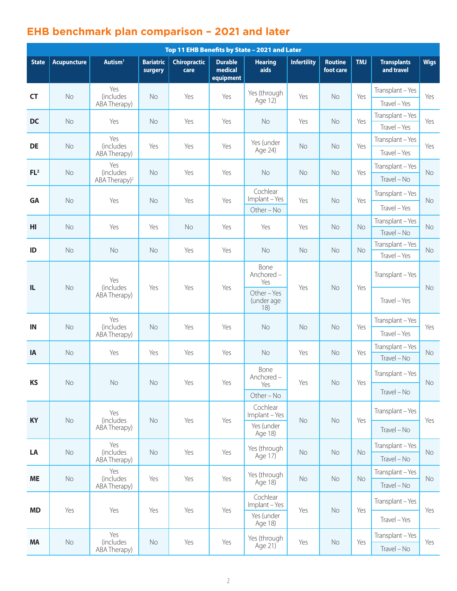### **EHB benchmark plan comparison – 2021 and later**

| Top 11 EHB Benefits by State - 2021 and Later |                    |                                                      |                             |                             |                                        |                                                            |                    |                             |     |                                  |             |
|-----------------------------------------------|--------------------|------------------------------------------------------|-----------------------------|-----------------------------|----------------------------------------|------------------------------------------------------------|--------------------|-----------------------------|-----|----------------------------------|-------------|
| <b>State</b>                                  | <b>Acupuncture</b> | Autism <sup>1</sup>                                  | <b>Bariatric</b><br>surgery | <b>Chiropractic</b><br>care | <b>Durable</b><br>medical<br>equipment | <b>Hearing</b><br>aids                                     | <b>Infertility</b> | <b>Routine</b><br>foot care | TMJ | <b>Transplants</b><br>and travel | <b>Wigs</b> |
| <b>CT</b>                                     | No                 | Yes<br><i>(includes</i><br>ABA Therapy)              | No                          | Yes                         | Yes                                    | Yes (through<br>Age 12)                                    | Yes                | No                          | Yes | Transplant-Yes<br>Travel - Yes   | Yes         |
| <b>DC</b>                                     | No                 | Yes                                                  | <b>No</b>                   | Yes                         | Yes                                    | No                                                         | Yes                | No                          | Yes | Transplant-Yes<br>Travel - Yes   | Yes         |
| <b>DE</b>                                     | No                 | Yes<br><i>(includes</i><br>ABA Therapy)              | Yes                         | Yes                         | Yes                                    | Yes (under<br>Age 24)                                      | <b>No</b>          | <b>No</b>                   | Yes | Transplant - Yes<br>Travel - Yes | Yes         |
| FL <sup>2</sup>                               | No                 | Yes<br><i>(includes</i><br>ABA Therapy) <sup>2</sup> | No                          | Yes                         | Yes                                    | No                                                         | <b>No</b>          | <b>No</b>                   | Yes | Transplant-Yes<br>Travel - No    | <b>No</b>   |
| GA                                            | No                 | Yes                                                  | <b>No</b>                   | Yes                         | Yes                                    | Cochlear<br>Implant - Yes<br>Other - No                    | Yes                | No                          | Yes | Transplant - Yes<br>Travel - Yes | <b>No</b>   |
| HI                                            | <b>No</b>          | Yes                                                  | Yes                         | <b>No</b>                   | Yes                                    | Yes                                                        | Yes                | <b>No</b>                   | No  | Transplant-Yes<br>Travel - No    | <b>No</b>   |
| ID                                            | No                 | No                                                   | <b>No</b>                   | Yes                         | Yes                                    | No                                                         | No                 | No                          | No  | Transplant-Yes<br>Travel - Yes   | No          |
| IL                                            | No                 | Yes<br><i>(includes)</i><br>ABA Therapy)             | Yes                         | Yes                         | Yes                                    | Bone<br>Anchored-<br>Yes<br>Other-Yes<br>(under age<br>18) | Yes                | <b>No</b>                   | Yes | Transplant-Yes<br>Travel - Yes   | <b>No</b>   |
| IN                                            | No                 | Yes<br><i>(includes</i><br>ABA Therapy)              | No                          | Yes                         | Yes                                    | No                                                         | No                 | No                          | Yes | Transplant-Yes<br>Travel - Yes   | Yes         |
| IA                                            | <b>No</b>          | Yes                                                  | Yes                         | Yes                         | Yes                                    | No                                                         | Yes                | <b>No</b>                   | Yes | Transplant-Yes<br>Travel - No    | <b>No</b>   |
| <b>KS</b>                                     | No                 | No                                                   | $\rm No$                    | Yes                         | Yes                                    | Bone<br>Anchored-<br>Yes<br>Other - No                     | Yes                | $\rm No$                    | Yes | Transplant-Yes<br>Travel - No    | No          |
| <b>KY</b>                                     | No                 | Yes<br>(includes<br>ABA Therapy)                     | No                          | Yes                         | Yes                                    | Cochlear<br>Implant-Yes<br>Yes (under<br>Age 18)           | No                 | No                          | Yes | Transplant-Yes<br>Travel - No    | Yes         |
| LA                                            | $\rm No$           | Yes<br>(includes<br>ABA Therapy)                     | No                          | Yes                         | Yes                                    | Yes (through<br>Age 17)                                    | No                 | No                          | No  | Transplant-Yes<br>Travel - No    | No          |
| <b>ME</b>                                     | No                 | Yes<br>(includes<br>ABA Therapy)                     | Yes                         | Yes                         | Yes                                    | Yes (through<br>Age 18)                                    | No                 | No                          | No  | Transplant-Yes<br>Travel - No    | No          |
| <b>MD</b>                                     | Yes                | Yes                                                  | Yes                         | Yes                         | Yes                                    | Cochlear<br>Implant-Yes<br>Yes (under<br>Age 18)           | Yes                | $\rm No$                    | Yes | Transplant-Yes<br>Travel - Yes   | Yes         |
| <b>MA</b>                                     | $\rm No$           | Yes<br>(includes<br>ABA Therapy)                     | No                          | Yes                         | Yes                                    | Yes (through<br>Age 21)                                    | Yes                | No                          | Yes | Transplant-Yes<br>Travel - No    | Yes         |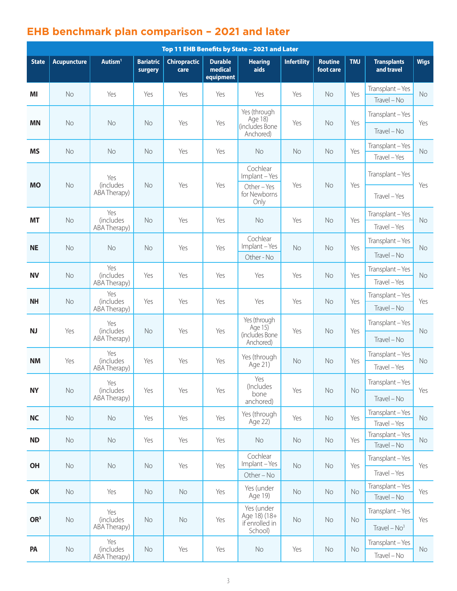## **EHB benchmark plan comparison – 2021 and later**

| Top 11 EHB Benefits by State - 2021 and Later |                    |                                  |                             |                             |                                        |                                                         |                    |                             |     |                                    |             |
|-----------------------------------------------|--------------------|----------------------------------|-----------------------------|-----------------------------|----------------------------------------|---------------------------------------------------------|--------------------|-----------------------------|-----|------------------------------------|-------------|
| <b>State</b>                                  | <b>Acupuncture</b> | Autism <sup>1</sup>              | <b>Bariatric</b><br>surgery | <b>Chiropractic</b><br>care | <b>Durable</b><br>medical<br>equipment | <b>Hearing</b><br>aids                                  | <b>Infertility</b> | <b>Routine</b><br>foot care | TMJ | <b>Transplants</b><br>and travel   | <b>Wigs</b> |
| MI                                            | <b>No</b>          | Yes                              | Yes                         | Yes                         | Yes                                    | Yes                                                     | Yes                | No                          | Yes | Transplant-Yes<br>$Travel - No$    | <b>No</b>   |
|                                               |                    |                                  |                             |                             |                                        | Yes (through<br>Age 18)                                 |                    |                             |     | Transplant-Yes                     |             |
| <b>MN</b>                                     | No                 | No                               | <b>No</b>                   | Yes                         | Yes                                    | (includes Bone<br>Anchored)                             | Yes                | No                          | Yes | Travel - No                        | Yes         |
| <b>MS</b>                                     | <b>No</b>          | No                               | No                          | Yes                         | Yes                                    | <b>No</b>                                               | No                 | No                          | Yes | Transplant - Yes<br>Travel - Yes   | <b>No</b>   |
|                                               |                    | Yes                              |                             |                             |                                        | Cochlear<br>Implant - Yes                               |                    |                             |     | Transplant - Yes                   |             |
| <b>MO</b>                                     | No                 | <i>(includes</i><br>ABA Therapy) | <b>No</b>                   | Yes                         | Yes                                    | Other-Yes<br>for Newborns<br>Only                       | Yes                | No                          | Yes | Travel - Yes                       | Yes         |
| MT                                            | <b>No</b>          | Yes<br>(includes<br>ABA Therapy) | No                          | Yes                         | Yes                                    | <b>No</b>                                               | Yes                | No                          | Yes | Transplant-Yes<br>Travel - Yes     | No          |
| <b>NE</b>                                     | <b>No</b>          | <b>No</b>                        | <b>No</b>                   | Yes                         | Yes                                    | Cochlear<br>Implant-Yes<br>Other - No                   | No                 | No                          | Yes | Transplant-Yes<br>Travel - No      | <b>No</b>   |
| <b>NV</b>                                     | No                 | Yes<br>(includes                 | Yes                         | Yes                         | Yes                                    | Yes                                                     | Yes                | No                          | Yes | Transplant - Yes<br>Travel - Yes   | <b>No</b>   |
|                                               |                    | ABA Therapy)<br>Yes              |                             |                             |                                        |                                                         |                    |                             |     | Transplant - Yes                   |             |
| <b>NH</b>                                     | No                 | <i>(includes</i><br>ABA Therapy) | Yes                         | Yes                         | Yes                                    | Yes                                                     | Yes                | No                          | Yes | Travel - No                        | Yes         |
| NJ                                            | Yes                | Yes<br>(includes                 | No                          | Yes                         | Yes                                    | Yes (through<br>Age 15)                                 | Yes                | No                          | Yes | Transplant - Yes                   | No          |
|                                               |                    | ABA Therapy)                     |                             |                             |                                        | (includes Bone<br>Anchored)                             |                    |                             |     | $Travel - No$                      |             |
| <b>NM</b>                                     | Yes                | Yes<br>(includes<br>ABA Therapy) | Yes                         | Yes                         | Yes                                    | Yes (through<br>Age 21)                                 | No                 | No                          | Yes | Transplant - Yes<br>Travel - Yes   | <b>No</b>   |
| <b>NY</b>                                     | No                 | Yes<br>(includes                 | Yes                         | Yes                         | Yes                                    | Yes<br>(Includes                                        |                    | Yes<br>No                   | No  | Transplant-Yes                     | Yes         |
|                                               |                    |                                  | ABA Therapy)                |                             |                                        |                                                         | bone<br>anchored)  |                             |     |                                    | Travel - No |
| <b>NC</b>                                     | No                 | $\rm No$                         | Yes                         | Yes                         | Yes                                    | Yes (through<br>Age 22)                                 | Yes                | No                          | Yes | Transplant-Yes<br>Travel - Yes     | No          |
| <b>ND</b>                                     | No                 | No                               | Yes                         | Yes                         | Yes                                    | No                                                      | No                 | No                          | Yes | Transplant - Yes<br>Travel - No    | No          |
| OH                                            | No                 | No                               | No                          | Yes                         | Yes                                    | Cochlear<br>Implant-Yes                                 | No                 | $\rm No$                    | Yes | Transplant - Yes                   | Yes         |
|                                               |                    |                                  |                             |                             |                                        | Other - No                                              |                    |                             |     | Travel - Yes                       |             |
| OK                                            | $\rm No$           | Yes                              | No                          | No                          | Yes                                    | Yes (under<br>Age 19)                                   | No                 | No                          | No  | Transplant-Yes<br>Travel - No      | Yes         |
| OR <sup>3</sup>                               | No                 | Yes<br>(includes<br>ABA Therapy) | No                          | No                          | Yes                                    | Yes (under<br>Age 18) (18+<br>if enrolled in<br>School) | No                 | $\rm No$                    | No  | Transplant - Yes<br>$Travel - No3$ | Yes         |
| PA                                            | No                 | Yes<br>(includes<br>ABA Therapy) | No                          | Yes                         | Yes                                    | No                                                      | Yes                | No                          | No  | Transplant - Yes<br>Travel - No    | No          |